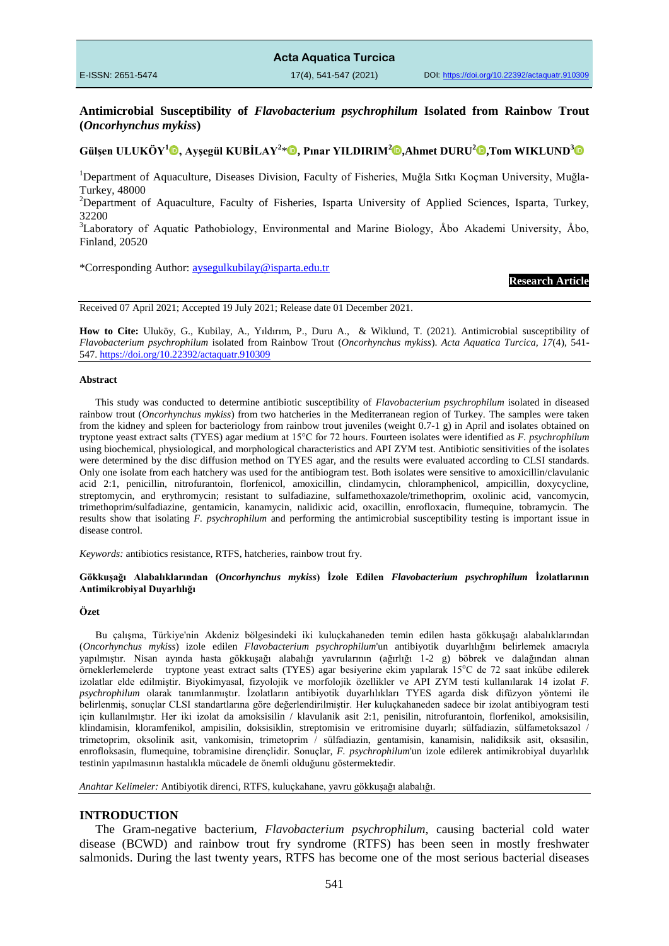**Acta Aquatica Turcica** E-ISSN: 2651-5474 17(4), 541-547 (2021) DOI: <https://doi.org/10.22392/actaquatr.910309>

**Antimicrobial Susceptibility of** *Flavobacterium psychrophilum* **Isolated from Rainbow Trout (***Oncorhynchus mykiss***)** 

# **Gülşen ULUKÖY[1](https://orcid.org/0000-0002-7759-4279) , Ayşegül KUBİLAY<sup>2</sup>** \* **, Pınar YILDIRIM[2](https://orcid.org/0000-0002-8856-5238) ,Ahmet DURU<sup>2</sup> ,Tom WIKLUND[3](https://orcid.org/0000-0002-9384-0054)**

<sup>1</sup>Department of Aquaculture, Diseases Division, Faculty of Fisheries, Muğla Sıtkı Koçman University, Muğla-Turkey, 48000

<sup>2</sup>Department of Aquaculture, Faculty of Fisheries, Isparta University of Applied Sciences, Isparta, Turkey, 32200

<sup>3</sup>Laboratory of Aquatic Pathobiology, Environmental and Marine Biology, Åbo Akademi University, Åbo, Finland, 20520

\*Corresponding Author: [aysegulkubilay@isparta.edu.tr](mailto:aysegulkubilay@isparta.edu.tr)

### **Research Article**

Received 07 April 2021; Accepted 19 July 2021; Release date 01 December 2021.

**How to Cite:** Uluköy, G., Kubilay, A., Yıldırım, P., Duru A., & Wiklund, T. (2021). Antimicrobial susceptibility of *Flavobacterium psychrophilum* isolated from Rainbow Trout (*Oncorhynchus mykiss*). *Acta Aquatica Turcica, 17*(4), 541- 547.<https://doi.org/10.22392/actaquatr.910309>

#### **Abstract**

This study was conducted to determine antibiotic susceptibility of *Flavobacterium psychrophilum* isolated in diseased rainbow trout (*Oncorhynchus mykiss*) from two hatcheries in the Mediterranean region of Turkey. The samples were taken from the kidney and spleen for bacteriology from rainbow trout juveniles (weight 0.7-1 g) in April and isolates obtained on tryptone yeast extract salts (TYES) agar medium at 15°C for 72 hours. Fourteen isolates were identified as *F. psychrophilum* using biochemical, physiological, and morphological characteristics and API ZYM test. Antibiotic sensitivities of the isolates were determined by the disc diffusion method on TYES agar, and the results were evaluated according to CLSI standards. Only one isolate from each hatchery was used for the antibiogram test. Both isolates were sensitive to amoxicillin/clavulanic acid 2:1, penicillin, nitrofurantoin, florfenicol, amoxicillin, clindamycin, chloramphenicol, ampicillin, doxycycline, streptomycin, and erythromycin; resistant to sulfadiazine, sulfamethoxazole/trimethoprim, oxolinic acid, vancomycin, trimethoprim/sulfadiazine, gentamicin, kanamycin, nalidixic acid, oxacillin, enrofloxacin, flumequine, tobramycin. The results show that isolating *F. psychrophilum* and performing the antimicrobial susceptibility testing is important issue in disease control.

*Keywords:* antibiotics resistance, RTFS, hatcheries, rainbow trout fry.

#### **Gökkuşağı Alabalıklarından (***Oncorhynchus mykiss***) İzole Edilen** *Flavobacterium psychrophilum* **İzolatlarının Antimikrobiyal Duyarlılığı**

### **Özet**

Bu çalışma, Türkiye'nin Akdeniz bölgesindeki iki kuluçkahaneden temin edilen hasta gökkuşağı alabalıklarından (*Oncorhynchus mykiss*) izole edilen *Flavobacterium psychrophilum*'un antibiyotik duyarlılığını belirlemek amacıyla yapılmıştır. Nisan ayında hasta gökkuşağı alabalığı yavrularının (ağırlığı 1-2 g) böbrek ve dalağından alınan örneklerlemelerde tryptone yeast extract salts (TYES) agar besiyerine ekim yapılarak 15°C de 72 saat inkübe edilerek izolatlar elde edilmiştir. Biyokimyasal, fizyolojik ve morfolojik özellikler ve API ZYM testi kullanılarak 14 izolat *F. psychrophilum* olarak tanımlanmıştır. İzolatların antibiyotik duyarlılıkları TYES agarda disk difüzyon yöntemi ile belirlenmiş, sonuçlar CLSI standartlarına göre değerlendirilmiştir. Her kuluçkahaneden sadece bir izolat antibiyogram testi için kullanılmıştır. Her iki izolat da amoksisilin / klavulanik asit 2:1, penisilin, nitrofurantoin, florfenikol, amoksisilin, klindamisin, kloramfenikol, ampisilin, doksisiklin, streptomisin ve eritromisine duyarlı; sülfadiazin, sülfametoksazol / trimetoprim, oksolinik asit, vankomisin, trimetoprim / sülfadiazin, gentamisin, kanamisin, nalidiksik asit, oksasilin, enrofloksasin, flumequine, tobramisine dirençlidir. Sonuçlar, *F. psychrophilum*'un izole edilerek antimikrobiyal duyarlılık testinin yapılmasının hastalıkla mücadele de önemli olduğunu göstermektedir.

*Anahtar Kelimeler:* Antibiyotik direnci, RTFS, kuluçkahane, yavru gökkuşağı alabalığı.

#### **INTRODUCTION**

The Gram-negative bacterium, *Flavobacterium psychrophilum*, causing bacterial cold water disease (BCWD) and rainbow trout fry syndrome (RTFS) has been seen in mostly freshwater salmonids. During the last twenty years, RTFS has become one of the most serious bacterial diseases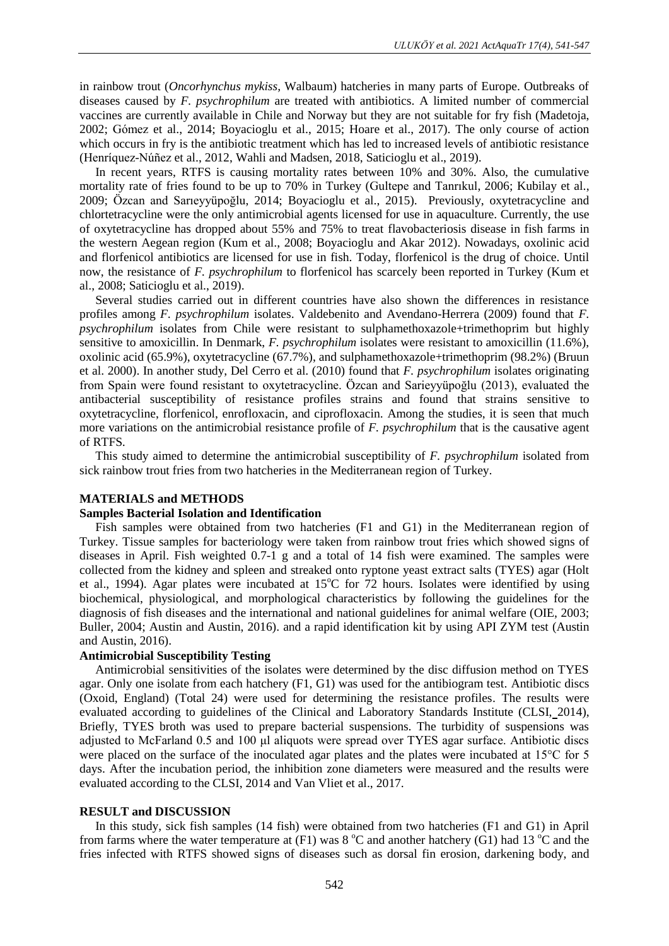in rainbow trout (*Oncorhynchus mykiss,* Walbaum) hatcheries in many parts of Europe. Outbreaks of diseases caused by *F. psychrophilum* are treated with antibiotics. A limited number of commercial vaccines are currently available in Chile and Norway but they are not suitable for fry fish (Madetoja, 2002; Gómez et al., 2014; Boyacioglu et al., 2015; Hoare et al., 2017). The only course of action which occurs in fry is the antibiotic treatment which has led to increased levels of antibiotic resistance (Henríquez-Núñez et al., 2012, Wahli and Madsen, 2018, Saticioglu et al., 2019).

In recent years, RTFS is causing mortality rates between 10% and 30%. Also, the cumulative mortality rate of fries found to be up to 70% in Turkey (Gultepe and Tanrıkul, 2006; Kubilay et al., 2009; Özcan and Sarıeyyüpoğlu, 2014; Boyacioglu et al., 2015). Previously, oxytetracycline and chlortetracycline were the only antimicrobial agents licensed for use in aquaculture. Currently, the use of oxytetracycline has dropped about 55% and 75% to treat flavobacteriosis disease in fish farms in the western Aegean region (Kum et al., 2008; Boyacioglu and Akar 2012). Nowadays, oxolinic acid and florfenicol antibiotics are licensed for use in fish. Today, florfenicol is the drug of choice. Until now, the resistance of *F. psychrophilum* to florfenicol has scarcely been reported in Turkey (Kum et al., 2008; Saticioglu et al., 2019).

Several studies carried out in different countries have also shown the differences in resistance profiles among *F. psychrophilum* isolates. Valdebenito and Avendano-Herrera (2009) found that *F. psychrophilum* isolates from Chile were resistant to sulphamethoxazole+trimethoprim but highly sensitive to amoxicillin. In Denmark, *F. psychrophilum* isolates were resistant to amoxicillin (11.6%), oxolinic acid (65.9%), oxytetracycline (67.7%), and sulphamethoxazole+trimethoprim (98.2%) (Bruun et al. 2000). In another study, Del Cerro et al. (2010) found that *F. psychrophilum* isolates originating from Spain were found resistant to oxytetracycline. Özcan and Sarieyyüpoğlu (2013), evaluated the antibacterial susceptibility of resistance profiles strains and found that strains sensitive to oxytetracycline, florfenicol, enrofloxacin, and ciprofloxacin. Among the studies, it is seen that much more variations on the antimicrobial resistance profile of *F. psychrophilum* that is the causative agent of RTFS*.*

This study aimed to determine the antimicrobial susceptibility of *F. psychrophilum* isolated from sick rainbow trout fries from two hatcheries in the Mediterranean region of Turkey.

## **MATERIALS and METHODS**

### **Samples Bacterial Isolation and Identification**

Fish samples were obtained from two hatcheries (F1 and G1) in the Mediterranean region of Turkey. Tissue samples for bacteriology were taken from rainbow trout fries which showed signs of diseases in April. Fish weighted 0.7-1 g and a total of 14 fish were examined. The samples were collected from the kidney and spleen and streaked onto ryptone yeast extract salts (TYES) agar (Holt et al., 1994). Agar plates were incubated at  $15^{\circ}$ C for 72 hours. Isolates were identified by using biochemical, physiological, and morphological characteristics by following the guidelines for the diagnosis of fish diseases and the international and national guidelines for animal welfare (OIE, [2003;](https://onlinelibrary.wiley.com/doi/10.1111/jfd.12901#jfd12901-bib-0029) Buller, 2004; Austin and Austin, 2016). and a rapid identification kit by using API ZYM test (Austin and Austin, 2016).

## **Antimicrobial Susceptibility Testing**

Antimicrobial sensitivities of the isolates were determined by the disc diffusion method on TYES agar. Only one isolate from each hatchery (F1, G1) was used for the antibiogram test. Antibiotic discs (Oxoid, England) (Total 24) were used for determining the resistance profiles. The results were evaluated according to guidelines of the Clinical and Laboratory Standards Institute (CLSI, 2014), Briefly, TYES broth was used to prepare bacterial suspensions. The turbidity of suspensions was adjusted to McFarland 0.5 and 100 μl aliquots were spread over TYES agar surface. Antibiotic discs were placed on the surface of the inoculated agar plates and the plates were incubated at 15<sup>o</sup>C for 5 days. After the incubation period, the inhibition zone diameters were measured and the results were evaluated according to the CLSI, 2014 and Van Vliet et al., 2017.

# **RESULT and DISCUSSION**

In this study, sick fish samples (14 fish) were obtained from two hatcheries (F1 and G1) in April from farms where the water temperature at  $(F1)$  was  $8 °C$  and another hatchery  $(G1)$  had  $13 °C$  and the fries infected with RTFS showed signs of diseases such as dorsal fin erosion, darkening body, and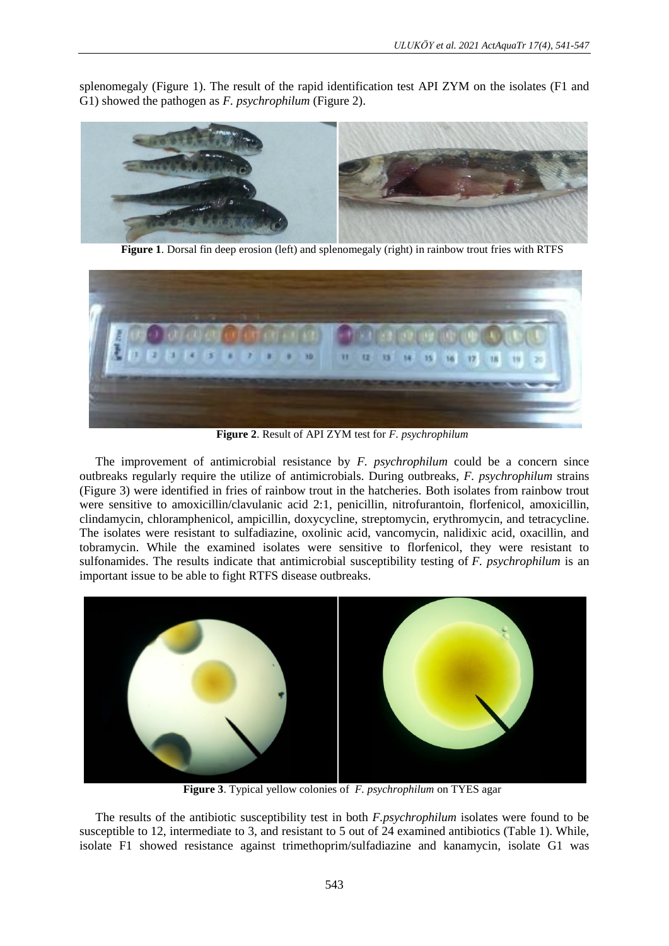splenomegaly (Figure 1). The result of the rapid identification test API ZYM on the isolates (F1 and G1) showed the pathogen as *F. psychrophilum* (Figure 2).



**Figure 1**. Dorsal fin deep erosion (left) and splenomegaly (right) in rainbow trout fries with RTFS



**Figure 2**. Result of API ZYM test for *F. psychrophilum*

The improvement of antimicrobial resistance by *F. psychrophilum* could be a concern since outbreaks regularly require the utilize of antimicrobials. During outbreaks, *F. psychrophilum* strains (Figure 3) were identified in fries of rainbow trout in the hatcheries. Both isolates from rainbow trout were sensitive to amoxicillin/clavulanic acid 2:1, penicillin, nitrofurantoin, florfenicol, amoxicillin, clindamycin, chloramphenicol, ampicillin, doxycycline, streptomycin, erythromycin, and tetracycline. The isolates were resistant to sulfadiazine, oxolinic acid, vancomycin, nalidixic acid, oxacillin, and tobramycin. While the examined isolates were sensitive to florfenicol, they were resistant to sulfonamides. The results indicate that antimicrobial susceptibility testing of *F. psychrophilum* is an important issue to be able to fight RTFS disease outbreaks.



**Figure 3**. Typical yellow colonies of *F. psychrophilum* on TYES agar

The results of the antibiotic susceptibility test in both *F.psychrophilum* isolates were found to be susceptible to 12, intermediate to 3, and resistant to 5 out of 24 examined antibiotics (Table 1). While, isolate F1 showed resistance against trimethoprim/sulfadiazine and kanamycin, isolate G1 was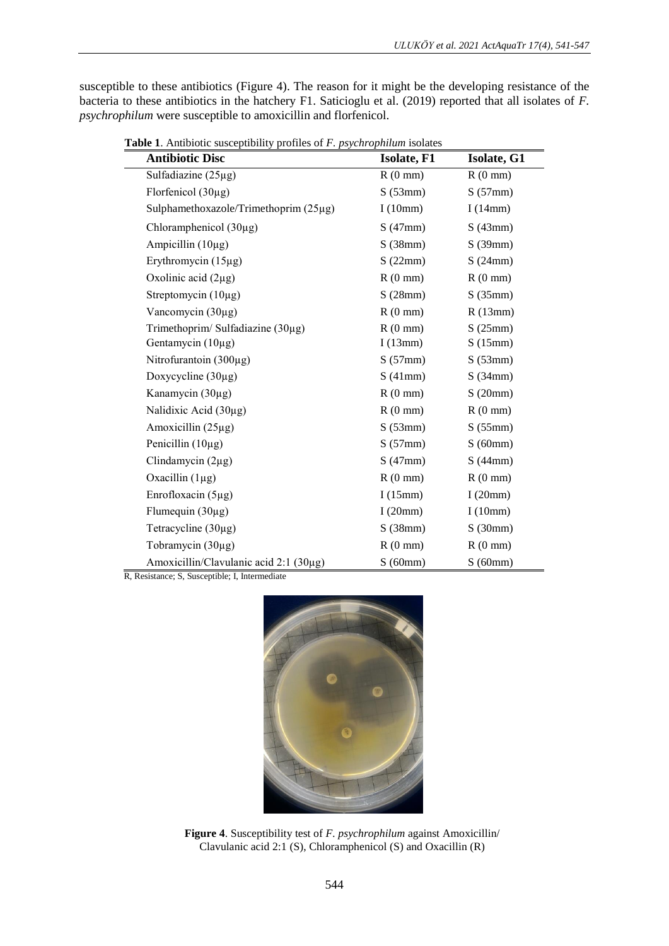susceptible to these antibiotics (Figure 4). The reason for it might be the developing resistance of the bacteria to these antibiotics in the hatchery F1. Saticioglu et al. (2019) reported that all isolates of *F. psychrophilum* were susceptible to amoxicillin and florfenicol.

| <b>Antibiotic Disc</b>                 | <b>Isolate, F1</b> | Isolate, G1       |
|----------------------------------------|--------------------|-------------------|
| Sulfadiazine $(25\mu g)$               | $R(0$ mm)          | $R(0$ mm)         |
| Florfenicol $(30\mu g)$                | S(53mm)            | S(57mm)           |
| Sulphamethoxazole/Trimethoprim (25µg)  | I $(10mm)$         | I $(14mm)$        |
| Chloramphenicol $(30\mu g)$            | S(47mm)            | S(43mm)           |
| Ampicillin $(10\mu g)$                 | S(38mm)            | S(39mm)           |
| Erythromycin $(15\mu g)$               | S(22mm)            | S(24mm)           |
| Oxolinic acid $(2\mu g)$               | $R(0$ mm)          | $R(0$ mm)         |
| Streptomycin $(10\mu g)$               | S(28mm)            | S(35mm)           |
| Vancomycin (30µg)                      | $R(0 \text{ mm})$  | R(13mm)           |
| Trimethoprim/ Sulfadiazine (30µg)      | $R(0 \text{ mm})$  | S(25mm)           |
| Gentamycin $(10\mu g)$                 | I $(13mm)$         | S(15mm)           |
| Nitrofurantoin (300µg)                 | S(57mm)            | S(53mm)           |
| Doxycycline $(30\mu g)$                | S(41mm)            | S(34mm)           |
| Kanamycin (30µg)                       | $R(0 \text{ mm})$  | S(20mm)           |
| Nalidixic Acid (30µg)                  | $R(0 \text{ mm})$  | $R(0$ mm)         |
| Amoxicillin $(25\mu g)$                | S(53mm)            | S(55mm)           |
| Penicillin $(10\mu g)$                 | S(57mm)            | S(60mm)           |
| Clindamycin $(2\mu g)$                 | S(47mm)            | S(44mm)           |
| Oxacillin $(1\mu g)$                   | $R(0 \text{ mm})$  | $R(0 \text{ mm})$ |
| Enrofloxacin (5µg)                     | I $(15mm)$         | I(20mm)           |
| Flumequin (30µg)                       | I $(20mm)$         | I $(10mm)$        |
| Tetracycline $(30\mu g)$               | S(38mm)            | S(30mm)           |
| Tobramycin (30µg)                      | $R(0 \text{ mm})$  | $R(0$ mm)         |
| Amoxicillin/Clavulanic acid 2:1 (30µg) | S(60mm)            | S(60mm)           |

 **Table 1**. Antibiotic susceptibility profiles of *F. psychrophilum* isolates

R, Resistance; S, Susceptible; I, Intermediate



**Figure 4**. Susceptibility test of *F. psychrophilum* against Amoxicillin/ Clavulanic acid 2:1 (S), Chloramphenicol (S) and Oxacillin (R)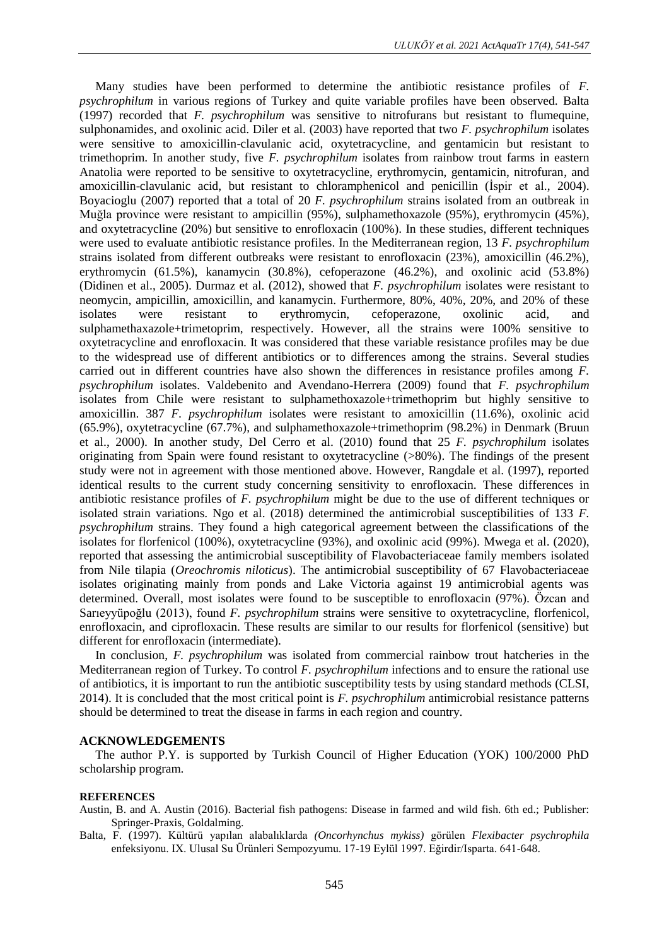Many studies have been performed to determine the antibiotic resistance profiles of *F. psychrophilum* in various regions of Turkey and quite variable profiles have been observed. Balta (1997) recorded that *F. psychrophilum* was sensitive to nitrofurans but resistant to flumequine, sulphonamides, and oxolinic acid. Diler et al. (2003) have reported that two *F. psychrophilum* isolates were sensitive to amoxicillin-clavulanic acid, oxytetracycline, and gentamicin but resistant to trimethoprim. In another study, five *F. psychrophilum* isolates from rainbow trout farms in eastern Anatolia were reported to be sensitive to oxytetracycline, erythromycin, gentamicin, nitrofuran, and amoxicillin-clavulanic acid, but resistant to chloramphenicol and penicillin (İspir et al., 2004). Boyacioglu (2007) reported that a total of 20 *F. psychrophilum* strains isolated from an outbreak in Muğla province were resistant to ampicillin (95%), sulphamethoxazole (95%), erythromycin (45%), and oxytetracycline (20%) but sensitive to enrofloxacin (100%). In these studies, different techniques were used to evaluate antibiotic resistance profiles. In the Mediterranean region, 13 *F. psychrophilum*  strains isolated from different outbreaks were resistant to enrofloxacin (23%), amoxicillin (46.2%), erythromycin (61.5%), kanamycin (30.8%), cefoperazone (46.2%), and oxolinic acid (53.8%) (Didinen et al., 2005). Durmaz et al. (2012), showed that *F. psychrophilum* isolates were resistant to neomycin, ampicillin, amoxicillin, and kanamycin. Furthermore, 80%, 40%, 20%, and 20% of these isolates were resistant to erythromycin, cefoperazone, oxolinic acid, and sulphamethaxazole+trimetoprim, respectively. However, all the strains were 100% sensitive to oxytetracycline and enrofloxacin. It was considered that these variable resistance profiles may be due to the widespread use of different antibiotics or to differences among the strains. Several studies carried out in different countries have also shown the differences in resistance profiles among *F. psychrophilum* isolates. Valdebenito and Avendano-Herrera (2009) found that *F. psychrophilum*  isolates from Chile were resistant to sulphamethoxazole+trimethoprim but highly sensitive to amoxicillin. 387 *F. psychrophilum* isolates were resistant to amoxicillin (11.6%), oxolinic acid (65.9%), oxytetracycline (67.7%), and sulphamethoxazole+trimethoprim (98.2%) in Denmark (Bruun et al., 2000). In another study, Del Cerro et al. (2010) found that 25 *F. psychrophilum* isolates originating from Spain were found resistant to oxytetracycline (>80%). The findings of the present study were not in agreement with those mentioned above. However, Rangdale et al. (1997), reported identical results to the current study concerning sensitivity to enrofloxacin. These differences in antibiotic resistance profiles of *F. psychrophilum* might be due to the use of different techniques or isolated strain variations. Ngo et al. (2018) determined the antimicrobial susceptibilities of 133 *F. psychrophilum* strains. They found a high categorical agreement between the classifications of the isolates for florfenicol (100%), oxytetracycline (93%), and oxolinic acid (99%). Mwega et al. (2020), reported that assessing the antimicrobial susceptibility of Flavobacteriaceae family members isolated from Nile tilapia (*Oreochromis niloticus*). The antimicrobial susceptibility of 67 Flavobacteriaceae isolates originating mainly from ponds and Lake Victoria against 19 antimicrobial agents was determined. Overall, most isolates were found to be susceptible to enrofloxacin (97%). Özcan and Sarıeyyüpoğlu (2013), found *F. psychrophilum* strains were sensitive to oxytetracycline, florfenicol, enrofloxacin, and ciprofloxacin. These results are similar to our results for florfenicol (sensitive) but different for enrofloxacin (intermediate).

In conclusion, *F. psychrophilum* was isolated from commercial rainbow trout hatcheries in the Mediterranean region of Turkey. To control *F. psychrophilum* infections and to ensure the rational use of antibiotics, it is important to run the antibiotic susceptibility tests by using standard methods (CLSI, 2014). It is concluded that the most critical point is *F. psychrophilum* antimicrobial resistance patterns should be determined to treat the disease in farms in each region and country.

#### **ACKNOWLEDGEMENTS**

The author P.Y. is supported by Turkish Council of Higher Education (YOK) 100/2000 PhD scholarship program.

### **REFERENCES**

Austin, B. and A. Austin (2016). Bacterial fish pathogens: Disease in farmed and wild fish. 6th ed.; Publisher: Springer-Praxis, Goldalming.

Balta, F. (1997). Kültürü yapılan alabalıklarda *(Oncorhynchus mykiss)* görülen *Flexibacter psychrophila*  enfeksiyonu. IX. Ulusal Su Ürünleri Sempozyumu. 17-19 Eylül 1997. Eğirdir/Isparta. 641-648.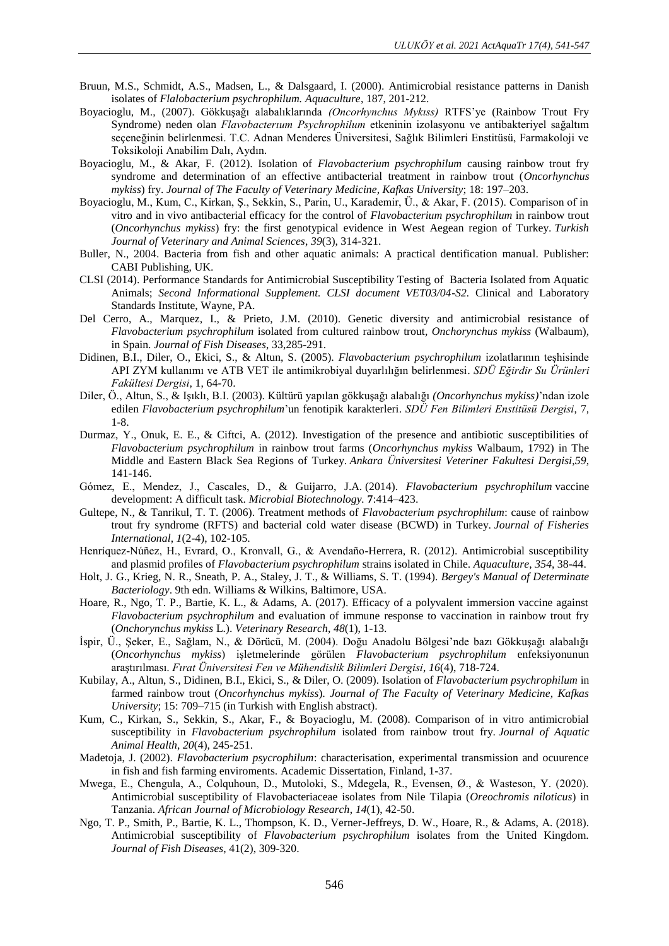- Bruun, M.S., Schmidt, A.S., Madsen, L., & Dalsgaard, I. (2000). Antimicrobial resistance patterns in Danish isolates of *Flalobacterium psychrophilum. Aquaculture*, 187, 201-212.
- Boyacioglu, M., (2007). Gökkuşağı alabalıklarında *(Oncorhynchus Mykıss)* RTFS'ye (Rainbow Trout Fry Syndrome) neden olan *Flavobacterıum Psychrophilum* etkeninin izolasyonu ve antibakteriyel sağaltım seçeneğinin belirlenmesi. T.C. Adnan Menderes Üniversitesi, Sağlık Bilimleri Enstitüsü, Farmakoloji ve Toksikoloji Anabilim Dalı, Aydın.
- Boyacioglu, M., & Akar, F. (2012). Isolation of *Flavobacterium psychrophilum* causing rainbow trout fry syndrome and determination of an effective antibacterial treatment in rainbow trout (*Oncorhynchus mykiss*) fry. *Journal of The Faculty of Veterinary Medicine, Kafkas University*; 18: 197–203.
- Boyacioglu, M., Kum, C., Kirkan, Ş., Sekkin, S., Parin, U., Karademir, Ü., & Akar, F. (2015). Comparison of in vitro and in vivo antibacterial efficacy for the control of *Flavobacterium psychrophilum* in rainbow trout (*Oncorhynchus mykiss*) fry: the first genotypical evidence in West Aegean region of Turkey. *Turkish Journal of Veterinary and Animal Sciences*, *39*(3), 314-321.
- Buller, N., 2004. Bacteria from fish and other aquatic animals: A practical dentification manual. Publisher: CABI Publishing, UK.
- CLSI (2014). Performance Standards for Antimicrobial Susceptibility Testing of Bacteria Isolated from Aquatic Animals; *Second Informational Supplement. CLSI document VET03/04-S2.* Clinical and Laboratory Standards Institute, Wayne, PA.
- Del Cerro, A., Marquez, I., & Prieto, J.M. (2010). Genetic diversity and antimicrobial resistance of *Flavobacterium psychrophilum* isolated from cultured rainbow trout*, Onchorynchus mykiss* (Walbaum), in Spain. *Journal of Fish Diseases*, 33,285-291.
- Didinen, B.I., Diler, O., Ekici, S., & Altun, S. (2005). *Flavobacterium psychrophilum* izolatlarının teşhisinde API ZYM kullanımı ve ATB VET ile antimikrobiyal duyarlılığın belirlenmesi. *SDÜ Eğirdir Su Ürünleri Fakültesi Dergisi*, 1, 64-70.
- Diler, Ö., Altun, S., & Işıklı, B.I. (2003). Kültürü yapılan gökkuşağı alabalığı *(Oncorhynchus mykiss)*'ndan izole edilen *Flavobacterium psychrophilum*'un fenotipik karakterleri. *SDÜ Fen Bilimleri Enstitüsü Dergisi*, 7, 1-8.
- Durmaz, Y., Onuk, E. E., & Ciftci, A. (2012). Investigation of the presence and antibiotic susceptibilities of *Flavobacterium psychrophilum* in rainbow trout farms (*Oncorhynchus mykiss* Walbaum, 1792) in The Middle and Eastern Black Sea Regions of Turkey. *Ankara Üniversitesi Veteriner Fakultesi Dergisi*,*59*, 141-146.
- Gómez, E., Mendez, J., Cascales, D., & Guijarro, J.A. (2014). *Flavobacterium psychrophilum* vaccine development: A difficult task. *Microbial Biotechnology.* **7**:414–423.
- Gultepe, N., & Tanrikul, T. T. (2006). Treatment methods of *Flavobacterium psychrophilum*: cause of rainbow trout fry syndrome (RFTS) and bacterial cold water disease (BCWD) in Turkey. *Journal of Fisheries International*, *1*(2-4), 102-105.
- Henríquez-Núñez, H., Evrard, O., Kronvall, G., & Avendaño-Herrera, R. (2012). Antimicrobial susceptibility and plasmid profiles of *Flavobacterium psychrophilum* strains isolated in Chile. *Aquaculture*, *354*, 38-44.
- Holt, J. G., Krieg, N. R., Sneath, P. A., Staley, J. T., & Williams, S. T. (1994). *Bergey's Manual of Determinate Bacteriology*. 9th edn. Williams & Wilkins, Baltimore, USA.
- Hoare, R., Ngo, T. P., Bartie, K. L., & Adams, A. (2017). Efficacy of a polyvalent immersion vaccine against *Flavobacterium psychrophilum* and evaluation of immune response to vaccination in rainbow trout fry (*Onchorynchus mykiss* L.). *Veterinary Research*, *48*(1), 1-13.
- İspir, Ü., Şeker, E., Sağlam, N., & Dörücü, M. (2004). Doğu Anadolu Bölgesi'nde bazı Gökkuşağı alabalığı (*Oncorhynchus mykiss*) işletmelerinde görülen *Flavobacterium psychrophilum* enfeksiyonunun araştırılması. *Fırat Üniversitesi Fen ve Mühendislik Bilimleri Dergisi*, *16*(4), 718-724.
- Kubilay, A., Altun, S., Didinen, B.I., Ekici, S., & Diler, O. (2009). Isolation of *Flavobacterium psychrophilum* in farmed rainbow trout (*Oncorhynchus mykiss*). *Journal of The Faculty of Veterinary Medicine, Kafkas University*; 15: 709–715 (in Turkish with English abstract).
- Kum, C., Kirkan, S., Sekkin, S., Akar, F., & Boyacioglu, M. (2008). Comparison of in vitro antimicrobial susceptibility in *Flavobacterium psychrophilum* isolated from rainbow trout fry. *Journal of Aquatic Animal Health*, *20*(4), 245-251.
- Madetoja, J. (2002). *Flavobacterium psycrophilum*: characterisation, experimental transmission and ocuurence in fish and fish farming enviroments. Academic Dissertation, Finland, 1-37.
- Mwega, E., Chengula, A., Colquhoun, D., Mutoloki, S., Mdegela, R., Evensen, Ø., & Wasteson, Y. (2020). Antimicrobial susceptibility of Flavobacteriaceae isolates from Nile Tilapia (*Oreochromis niloticus*) in Tanzania. *African Journal of Microbiology Research*, *14*(1), 42-50.
- Ngo, T. P., Smith, P., Bartie, K. L., Thompson, K. D., Verner-Jeffreys, D. W., Hoare, R., & Adams, A. (2018). Antimicrobial susceptibility of *Flavobacterium psychrophilum* isolates from the United Kingdom. *Journal of Fish Diseases*, 41(2), 309-320.